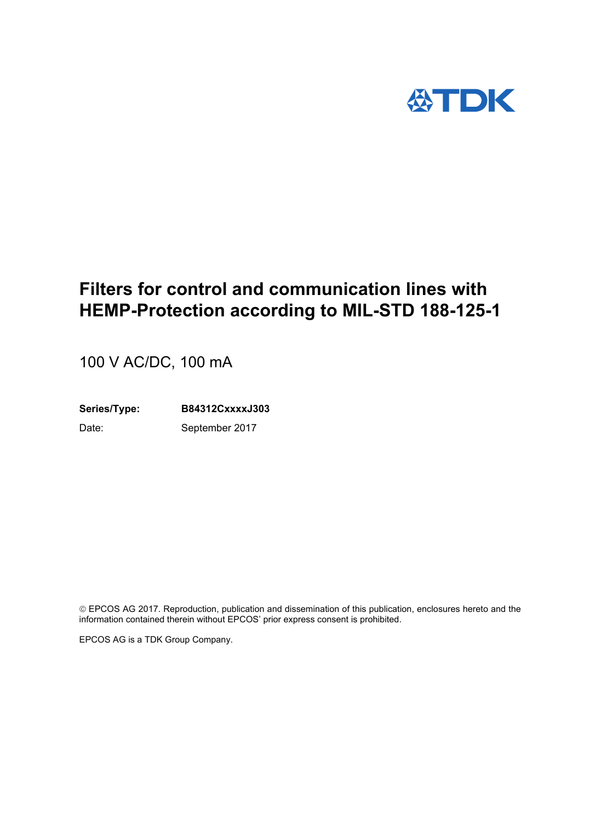

# **Filters for control and communication lines with HEMP-Protection according to MIL-STD 188-125-1**

100 V AC/DC, 100 mA

**Series/Type: B84312CxxxxJ303** Date: September 2017

 EPCOS AG 2017. Reproduction, publication and dissemination of this publication, enclosures hereto and the information contained therein without EPCOS' prior express consent is prohibited.

EPCOS AG is a TDK Group Company.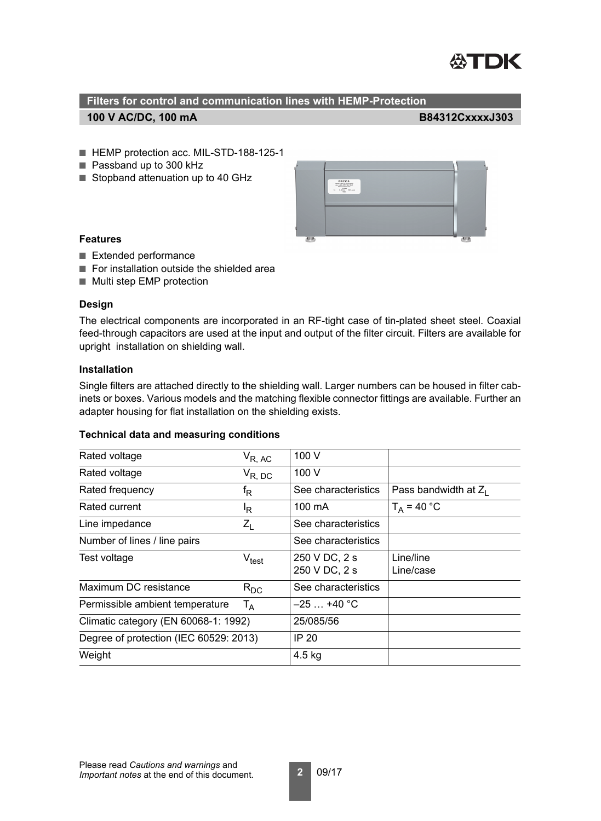

- HEMP protection acc. MIL-STD-188-125-1
- Passband up to 300 kHz
- Stopband attenuation up to 40 GHz



## **Features**

- Extended performance
- For installation outside the shielded area
- Multi step EMP protection

## **Design**

The electrical components are incorporated in an RF-tight case of tin-plated sheet steel. Coaxial feed-through capacitors are used at the input and output of the filter circuit. Filters are available for upright installation on shielding wall.

## **Installation**

Single filters are attached directly to the shielding wall. Larger numbers can be housed in filter cabinets or boxes. Various models and the matching flexible connector fittings are available. Further an adapter housing for flat installation on the shielding exists.

#### **Technical data and measuring conditions**

| Rated voltage                          | $V_{R, AC}$                  | 100 V                          |                         |
|----------------------------------------|------------------------------|--------------------------------|-------------------------|
| Rated voltage                          | $V_{R, DC}$                  | 100 V                          |                         |
| Rated frequency                        | $\mathsf{f}_\mathsf{R}$      | See characteristics            | Pass bandwidth at $Z_1$ |
| Rated current                          | l <sub>R.</sub>              | 100 mA                         | $T_A = 40 °C$           |
| Line impedance                         | $Z_{L}$                      | See characteristics            |                         |
| Number of lines / line pairs           |                              | See characteristics            |                         |
| Test voltage                           | $\mathsf{V}_{\mathsf{test}}$ | 250 V DC, 2 s<br>250 V DC, 2 s | Line/line<br>Line/case  |
| Maximum DC resistance                  | $R_{DC}$                     | See characteristics            |                         |
| Permissible ambient temperature        | $T_A$                        | $-25+40$ °C                    |                         |
| Climatic category (EN 60068-1: 1992)   |                              | 25/085/56                      |                         |
| Degree of protection (IEC 60529: 2013) |                              | <b>IP 20</b>                   |                         |
| Weight                                 |                              | $4.5$ kg                       |                         |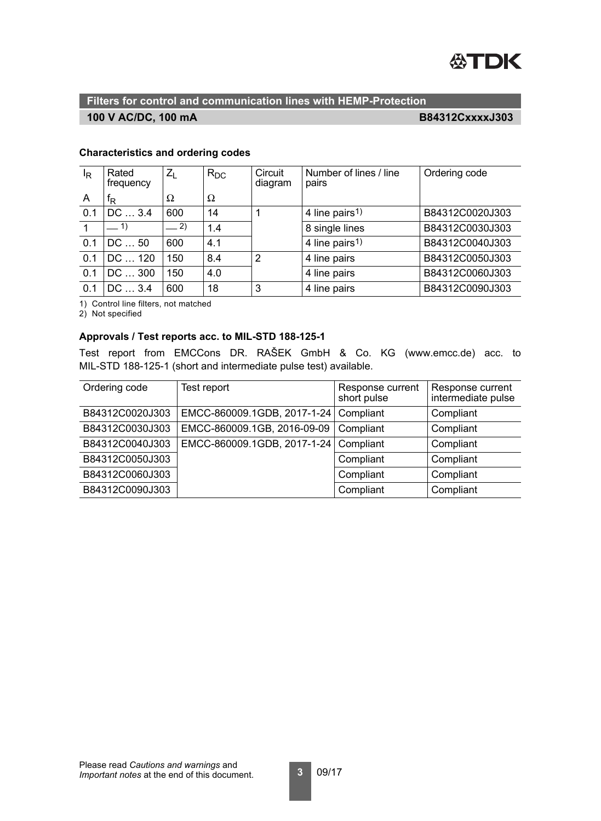

## **100 V AC/DC, 100 mA**

**B84312CxxxxJ303**

## **Characteristics and ordering codes**

| $I_R$          | Rated<br>frequency | $Z_{\rm I}$ | $R_{DC}$ | Circuit<br>diagram | Number of lines / line<br>pairs | Ordering code   |
|----------------|--------------------|-------------|----------|--------------------|---------------------------------|-----------------|
| $\overline{A}$ | ΙR                 | Ω           | Ω        |                    |                                 |                 |
| 0.1            | DC  3.4            | 600         | 14       | 1                  | 4 line pairs <sup>1)</sup>      | B84312C0020J303 |
|                | $-1$               | $-2)$       | 1.4      |                    | 8 single lines                  | B84312C0030J303 |
| 0.1            | DC  50             | 600         | 4.1      |                    | 4 line pairs <sup>1)</sup>      | B84312C0040J303 |
| 0.1            | DC  120            | 150         | 8.4      | $\overline{2}$     | 4 line pairs                    | B84312C0050J303 |
| 0.1            | DC  300            | 150         | 4.0      |                    | 4 line pairs                    | B84312C0060J303 |
| 0.1            | DC  3.4            | 600         | 18       | 3                  | 4 line pairs                    | B84312C0090J303 |

1) Control line filters, not matched

2) Not specified

## **Approvals / Test reports acc. to MIL-STD 188-125-1**

Test report from EMCCons DR. RAŠEK GmbH & Co. KG (www.emcc.de) acc. to MIL-STD 188-125-1 (short and intermediate pulse test) available.

| Ordering code   | Test report                 | Response current<br>short pulse | Response current<br>intermediate pulse |
|-----------------|-----------------------------|---------------------------------|----------------------------------------|
| B84312C0020J303 | EMCC-860009.1GDB, 2017-1-24 | Compliant                       | Compliant                              |
| B84312C0030J303 | EMCC-860009.1GB, 2016-09-09 | Compliant                       | Compliant                              |
| B84312C0040J303 | EMCC-860009.1GDB, 2017-1-24 | Compliant                       | Compliant                              |
| B84312C0050J303 |                             | Compliant                       | Compliant                              |
| B84312C0060J303 |                             | Compliant                       | Compliant                              |
| B84312C0090J303 |                             | Compliant                       | Compliant                              |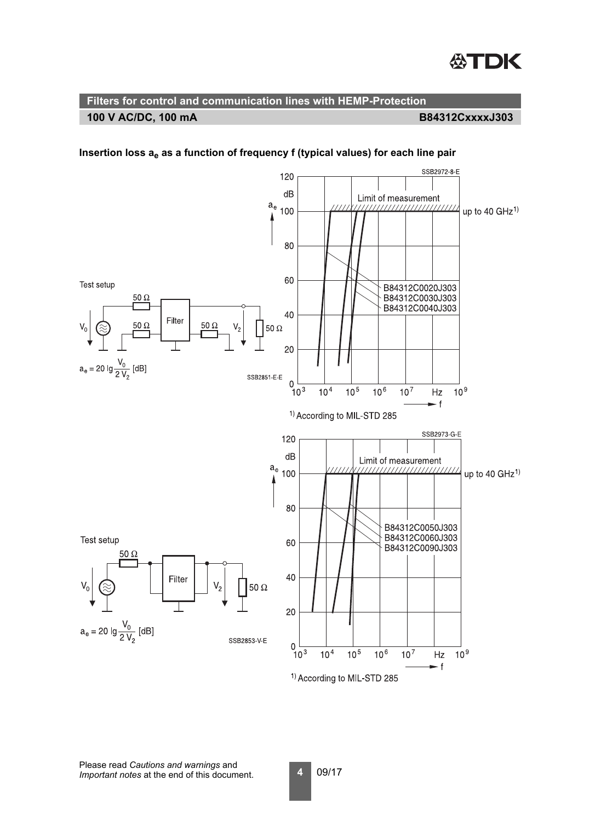

SSB2972-8-E 120  $dB$ Limit of measurement  $a_e$  100 up to 40  $GHZ<sup>1</sup>$ 80 60 Test setup B84312C0020J303 B84312C0030J303  $50\ \Omega$ B84312C0040J303 40 Filter  $\mathsf{V}_2$  $50\Omega$  $50\ \Omega$  $V_{0}$  $50\ \Omega$ 20  $a_e = 20$  lg  $\frac{V_0}{2 V_2}$  [dB] SSB2851-E-E  $\mathbf{0}$  $10^{3}$  $10<sup>7</sup>$  $10<sup>9</sup>$  $10<sup>4</sup>$  $10^{5}$  $10<sup>6</sup>$  $Hz$ – f <sup>1)</sup> According to MIL-STD 285 SSB2973-G-E 120 dB Limit of measurement  $\frac{a_e}{\sqrt{ }}100$ ,,,,,,,,,,,,,,,,, up to 40  $GHz<sup>1</sup>$ 80 B84312C0050J303<br>B84312C0060J303 Test setup 60 B84312C0090J303  $50\,\Omega$ 40 Filter  $50 \Omega$ 20  $a_e = 20$  lg  $\frac{V_0}{2 V_2}$  [dB] SSB2853-V-E  $\overline{0}$  $\frac{6}{10^3}$  $10<sup>4</sup>$  $10<sup>5</sup>$  $10<sup>6</sup>$  $10^{7}$  $10<sup>9</sup>$  $Hz$ – f

## Insertion loss a<sub>e</sub> as a function of frequency f (typical values) for each line pair

<sup>1)</sup> According to MIL-STD 285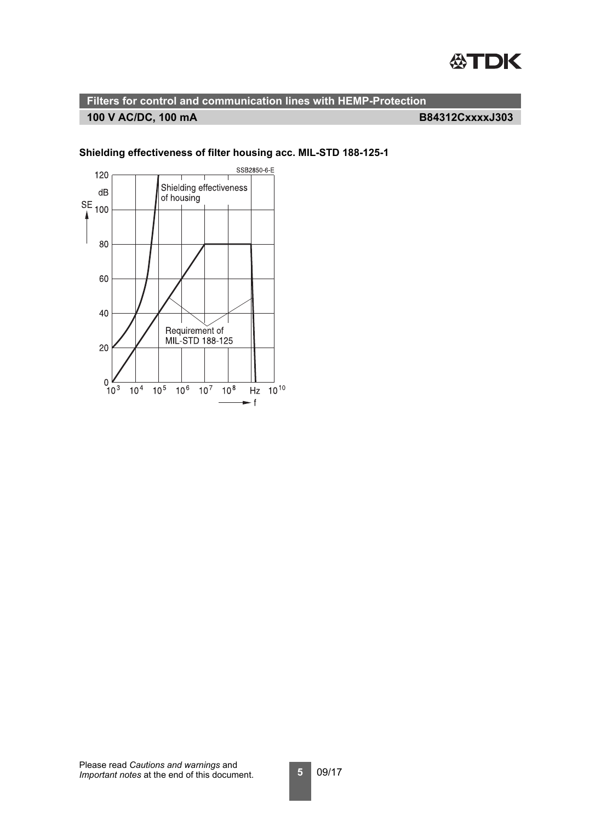

## **100 V AC/DC, 100 mA**

**B84312CxxxxJ303**



## **Shielding effectiveness of filter housing acc. MIL-STD 188-125-1**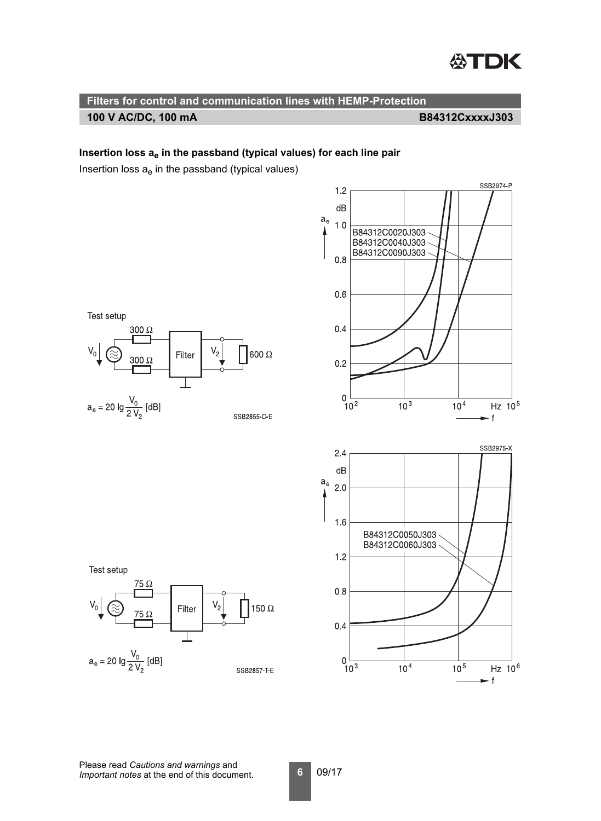

## Insertion loss a<sub>e</sub> in the passband (typical values) for each line pair

Insertion loss  $a_e$  in the passband (typical values)

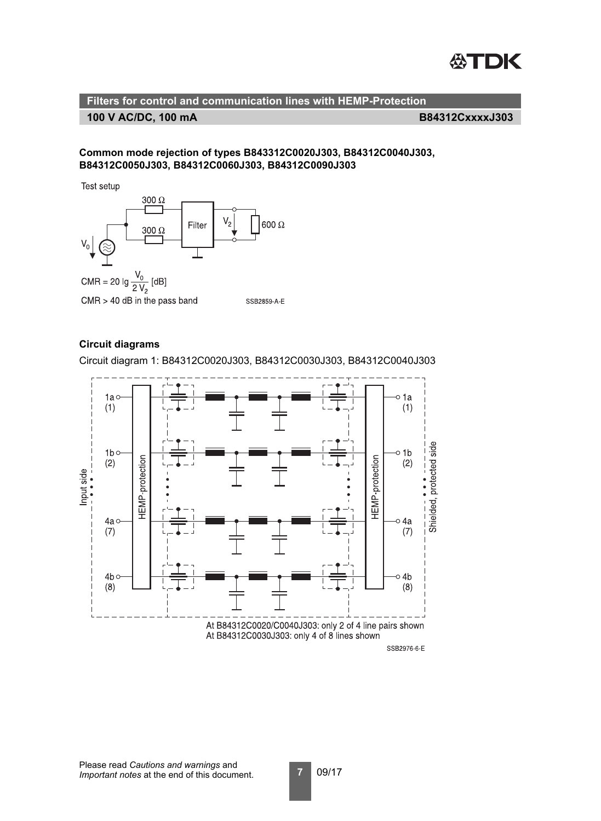

**Filters for control and communication lines with HEMP-Protection 100 V AC/DC, 100 mA**

**B84312CxxxxJ303**

## **Common mode rejection of types B843312C0020J303, B84312C0040J303, B84312C0050J303, B84312C0060J303, B84312C0090J303**

Test setup



## **Circuit diagrams**

Circuit diagram 1: B84312C0020J303, B84312C0030J303, B84312C0040J303



Please read *Cautions and warnings* and *Important notes* at the end of this document.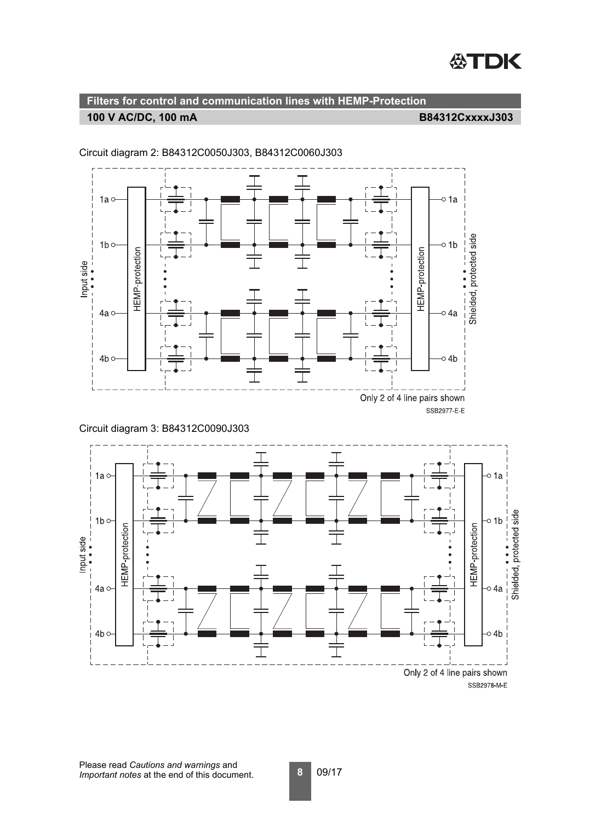



Circuit diagram 2: B84312C0050J303, B84312C0060J303

Circuit diagram 3: B84312C0090J303

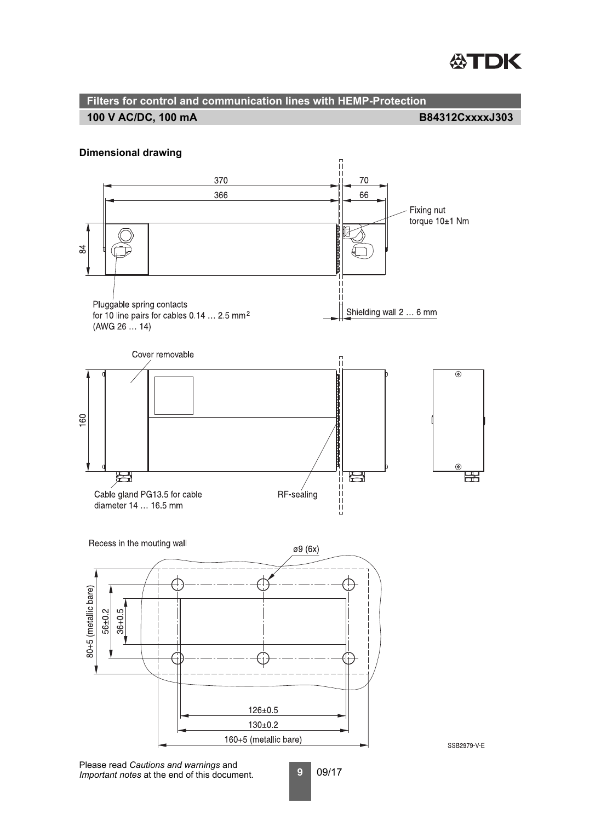# **STDK**

#### **Filters for control and communication lines with HEMP-Protection B84312CxxxxJ303 100 V AC/DC, 100 mA**

## **Dimensional drawing**



**9** 09/17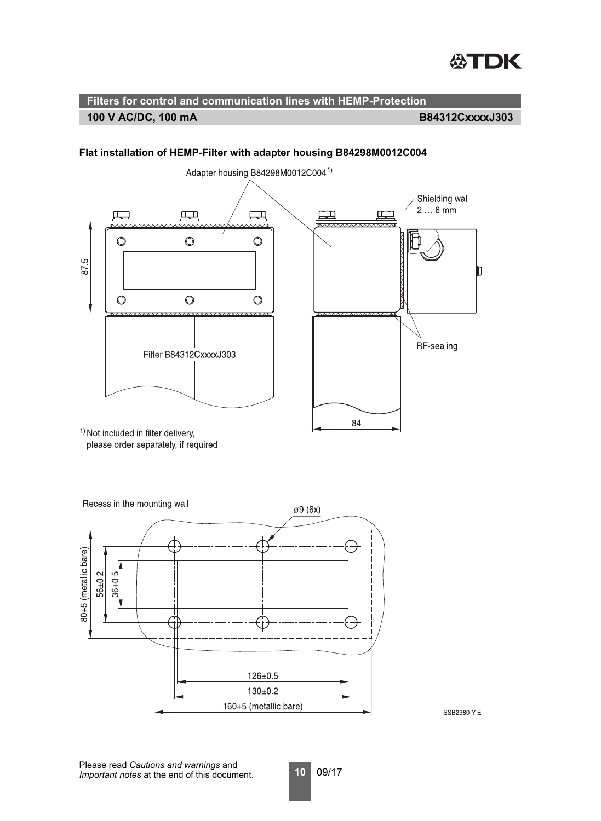

## **100 V AC/DC, 100 mA B84312CxxxxJ303**



## **Flat installation of HEMP-Filter with adapter housing B84298M0012C004**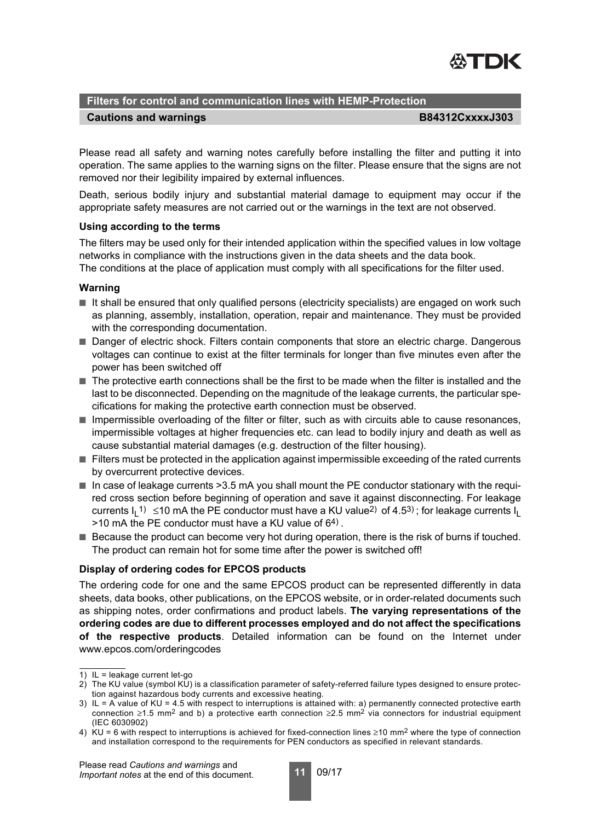

## **Cautions and warnings B84312CxxxxJ303**

Please read all safety and warning notes carefully before installing the filter and putting it into operation. The same applies to the warning signs on the filter. Please ensure that the signs are not removed nor their legibility impaired by external influences.

Death, serious bodily injury and substantial material damage to equipment may occur if the appropriate safety measures are not carried out or the warnings in the text are not observed.

## **Using according to the terms**

The filters may be used only for their intended application within the specified values in low voltage networks in compliance with the instructions given in the data sheets and the data book. The conditions at the place of application must comply with all specifications for the filter used.

## **Warning**

- It shall be ensured that only qualified persons (electricity specialists) are engaged on work such as planning, assembly, installation, operation, repair and maintenance. They must be provided with the corresponding documentation.
- Danger of electric shock. Filters contain components that store an electric charge. Dangerous voltages can continue to exist at the filter terminals for longer than five minutes even after the power has been switched off
- The protective earth connections shall be the first to be made when the filter is installed and the last to be disconnected. Depending on the magnitude of the leakage currents, the particular specifications for making the protective earth connection must be observed.
- Impermissible overloading of the filter or filter, such as with circuits able to cause resonances, impermissible voltages at higher frequencies etc. can lead to bodily injury and death as well as cause substantial material damages (e.g. destruction of the filter housing).
- Filters must be protected in the application against impermissible exceeding of the rated currents by overcurrent protective devices.
- $\blacksquare$  In case of leakage currents  $>3.5$  mA you shall mount the PE conductor stationary with the required cross section before beginning of operation and save it against disconnecting. For leakage currents I<sub>L</sub>1)≤10 mA the PE conductor must have a KU value<sup>2)</sup> of 4.5<sup>3)</sup> ; for leakage currents I<sub>L</sub>  $>10$  mA the PE conductor must have a KU value of  $64$ ).
- Because the product can become very hot during operation, there is the risk of burns if touched. The product can remain hot for some time after the power is switched off!

## **Display of ordering codes for EPCOS products**

The ordering code for one and the same EPCOS product can be represented differently in data sheets, data books, other publications, on the EPCOS website, or in order-related documents such as shipping notes, order confirmations and product labels. **The varying representations of the ordering codes are due to different processes employed and do not affect the specifications of the respective products**. Detailed information can be found on the Internet under www.epcos.com/orderingcodes

Please read *Cautions and warnings* and *Important notes* at the end of this document.



<sup>1)</sup> IL = leakage current let-go

<sup>2)</sup> The KU value (symbol KU) is a classification parameter of safety-referred failure types designed to ensure protection against hazardous body currents and excessive heating.

<sup>3)</sup> IL = A value of KU = 4.5 with respect to interruptions is attained with: a) permanently connected protective earth connection ≥1.5 mm<sup>2</sup> and b) a protective earth connection ≥2.5 mm<sup>2</sup> via connectors for industrial equipment (IEC 6030902)

<sup>4)</sup> KU = 6 with respect to interruptions is achieved for fixed-connection lines  $\geq$ 10 mm<sup>2</sup> where the type of connection and installation correspond to the requirements for PEN conductors as specified in relevant standards.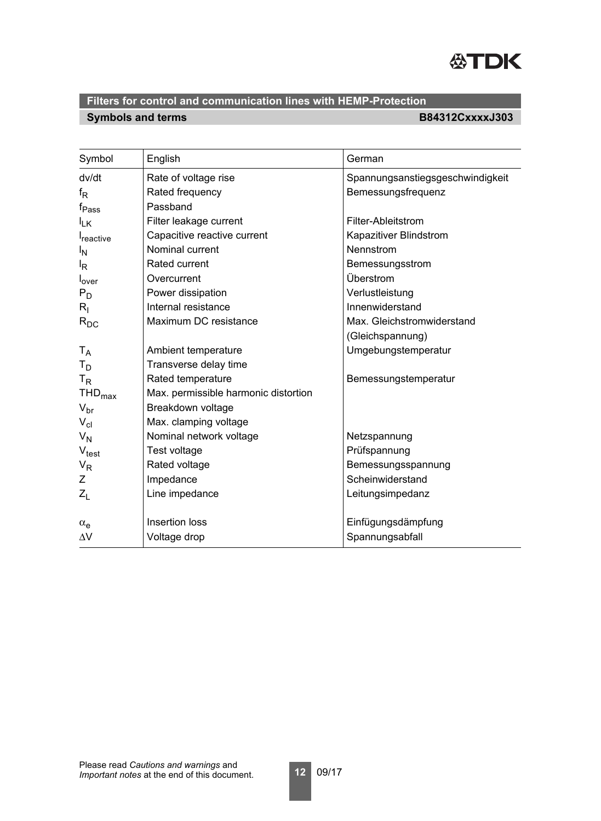

## **Symbols and terms B84312CxxxxJ303 Filters for control and communication lines with HEMP-Protection**

| Symbol                | English                              | German                           |
|-----------------------|--------------------------------------|----------------------------------|
| dv/dt                 | Rate of voltage rise                 | Spannungsanstiegsgeschwindigkeit |
| $f_{\mathsf{R}}$      | Rated frequency                      | Bemessungsfrequenz               |
| $f_{\mathsf{Pass}}$   | Passband                             |                                  |
| $I_{LK}$              | Filter leakage current               | Filter-Ableitstrom               |
| I <sub>reactive</sub> | Capacitive reactive current          | Kapazitiver Blindstrom           |
| l <sub>N</sub>        | Nominal current                      | Nennstrom                        |
| l <sub>R</sub>        | <b>Rated current</b>                 | Bemessungsstrom                  |
| l <sub>over</sub>     | Overcurrent                          | Überstrom                        |
| $P_D$                 | Power dissipation                    | Verlustleistung                  |
| $R_{\rm I}$           | Internal resistance                  | Innenwiderstand                  |
| $R_{DC}$              | Maximum DC resistance                | Max. Gleichstromwiderstand       |
|                       |                                      | (Gleichspannung)                 |
| $T_A$                 | Ambient temperature                  | Umgebungstemperatur              |
| $T_D$                 | Transverse delay time                |                                  |
| $T_R$                 | Rated temperature                    | Bemessungstemperatur             |
| $THD_{max}$           | Max. permissible harmonic distortion |                                  |
| $V_{\text{br}}$       | Breakdown voltage                    |                                  |
| $V_{\text{cl}}$       | Max. clamping voltage                |                                  |
| $V_N$                 | Nominal network voltage              | Netzspannung                     |
| $V_{\text{test}}$     | Test voltage                         | Prüfspannung                     |
| $V_R$                 | Rated voltage                        | Bemessungsspannung               |
| Ζ                     | Impedance                            | Scheinwiderstand                 |
| $Z_L$                 | Line impedance                       | Leitungsimpedanz                 |
|                       |                                      |                                  |
| $\alpha_e$            | Insertion loss                       | Einfügungsdämpfung               |
| $\Delta V$            | Voltage drop                         | Spannungsabfall                  |